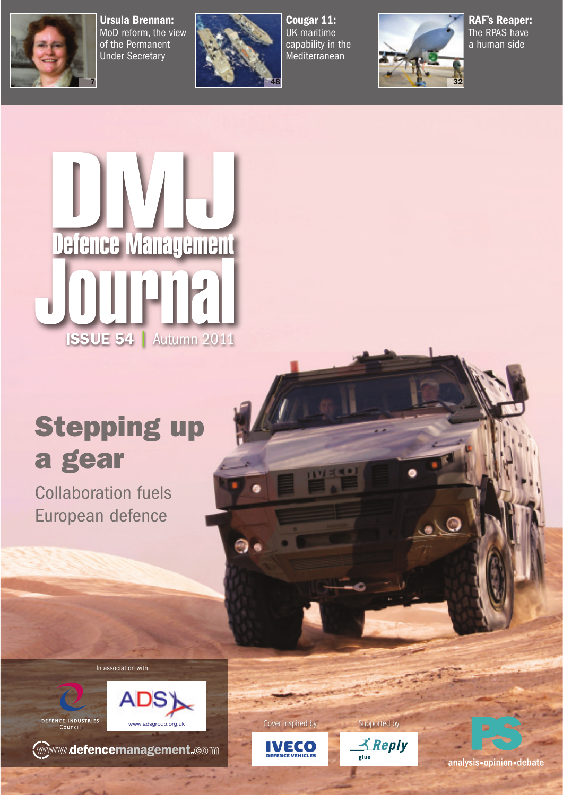

MoD reform, the view of the Permanent Under Secretary



UK maritime capability in the Mediterranean



The RPAS have a human side



## **Stepping up**

**Collaboration fuels** European defence

In association with:





**WWW.defencemanagement.com** 



9

Cover inspired by Supported by



analysis•opinion•debate

 $\bullet$